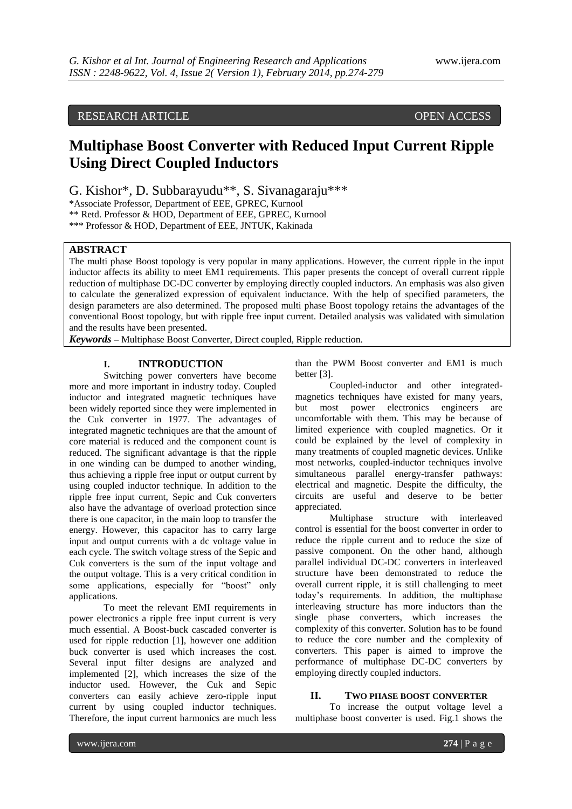# RESEARCH ARTICLE OPEN ACCESS

# **Multiphase Boost Converter with Reduced Input Current Ripple Using Direct Coupled Inductors**

G. Kishor\*, D. Subbarayudu\*\*, S. Sivanagaraju\*\*\*

\*Associate Professor, Department of EEE, GPREC, Kurnool

\*\* Retd. Professor & HOD, Department of EEE, GPREC, Kurnool

\*\*\* Professor & HOD, Department of EEE, JNTUK, Kakinada

## **ABSTRACT**

The multi phase Boost topology is very popular in many applications. However, the current ripple in the input inductor affects its ability to meet EM1 requirements. This paper presents the concept of overall current ripple reduction of multiphase DC-DC converter by employing directly coupled inductors. An emphasis was also given to calculate the generalized expression of equivalent inductance. With the help of specified parameters, the design parameters are also determined. The proposed multi phase Boost topology retains the advantages of the conventional Boost topology, but with ripple free input current. Detailed analysis was validated with simulation and the results have been presented.

*Keywords* **–** Multiphase Boost Converter, Direct coupled, Ripple reduction.

### **I. INTRODUCTION**

Switching power converters have become more and more important in industry today. Coupled inductor and integrated magnetic techniques have been widely reported since they were implemented in the Cuk converter in 1977. The advantages of integrated magnetic techniques are that the amount of core material is reduced and the component count is reduced. The significant advantage is that the ripple in one winding can be dumped to another winding, thus achieving a ripple free input or output current by using coupled inductor technique. In addition to the ripple free input current, Sepic and Cuk converters also have the advantage of overload protection since there is one capacitor, in the main loop to transfer the energy. However, this capacitor has to carry large input and output currents with a dc voltage value in each cycle. The switch voltage stress of the Sepic and Cuk converters is the sum of the input voltage and the output voltage. This is a very critical condition in some applications, especially for "boost" only applications.

To meet the relevant EMI requirements in power electronics a ripple free input current is very much essential. A Boost-buck cascaded converter is used for ripple reduction [1], however one addition buck converter is used which increases the cost. Several input filter designs are analyzed and implemented [2], which increases the size of the inductor used. However, the Cuk and Sepic converters can easily achieve zero-ripple input current by using coupled inductor techniques. Therefore, the input current harmonics are much less than the PWM Boost converter and EM1 is much better [3].

Coupled-inductor and other integratedmagnetics techniques have existed for many years, but most power electronics engineers are uncomfortable with them. This may be because of limited experience with coupled magnetics. Or it could be explained by the level of complexity in many treatments of coupled magnetic devices. Unlike most networks, coupled-inductor techniques involve simultaneous parallel energy-transfer pathways: electrical and magnetic. Despite the difficulty, the circuits are useful and deserve to be better appreciated.

Multiphase structure with interleaved control is essential for the boost converter in order to reduce the ripple current and to reduce the size of passive component. On the other hand, although parallel individual DC-DC converters in interleaved structure have been demonstrated to reduce the overall current ripple, it is still challenging to meet today"s requirements. In addition, the multiphase interleaving structure has more inductors than the single phase converters, which increases the complexity of this converter. Solution has to be found to reduce the core number and the complexity of converters. This paper is aimed to improve the performance of multiphase DC-DC converters by employing directly coupled inductors.

#### **II. TWO PHASE BOOST CONVERTER**

To increase the output voltage level a multiphase boost converter is used. Fig.1 shows the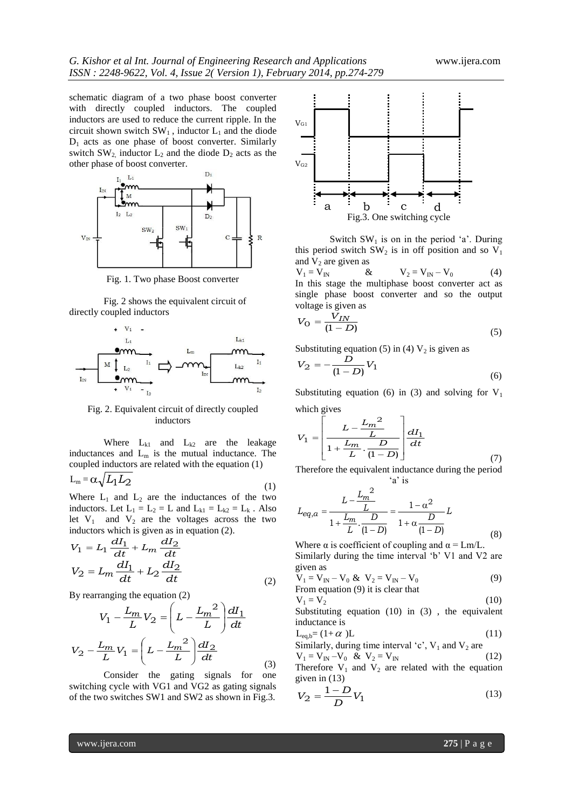schematic diagram of a two phase boost converter with directly coupled inductors. The coupled inductors are used to reduce the current ripple. In the circuit shown switch  $SW_1$ , inductor  $L_1$  and the diode D<sup>1</sup> acts as one phase of boost converter. Similarly switch  $SW_2$  inductor  $L_2$  and the diode  $D_2$  acts as the other phase of boost converter.



Fig. 1. Two phase Boost converter

Fig. 2 shows the equivalent circuit of directly coupled inductors



Fig. 2. Equivalent circuit of directly coupled inductors

Where  $L_{k1}$  and  $L_{k2}$  are the leakage inductances and  $L_m$  is the mutual inductance. The coupled inductors are related with the equation (1)

$$
L_m = \alpha \sqrt{L_1 L_2} \tag{1}
$$

Where  $L_1$  and  $L_2$  are the inductances of the two inductors. Let  $L_1 = L_2 = L$  and  $L_{k1} = L_{k2} = L_k$ . Also let  $V_1$  and  $V_2$  are the voltages across the two inductors which is given as in equation (2).

$$
V_1 = L_1 \frac{dI_1}{dt} + L_m \frac{dI_2}{dt}
$$
  

$$
V_2 = L_m \frac{dI_1}{dt} + L_2 \frac{dI_2}{dt}
$$
 (2)

By rearranging the equation (2)

$$
V_1 - \frac{L_m}{L} V_2 = \left( L - \frac{L_m^2}{L} \right) \frac{dI_1}{dt}
$$

$$
V_2 - \frac{L_m}{L} V_1 = \left( L - \frac{L_m^2}{L} \right) \frac{dI_2}{dt}
$$
(3)

Consider the gating signals for one switching cycle with VG1 and VG2 as gating signals of the two switches SW1 and SW2 as shown in Fig.3.



Switch  $SW<sub>1</sub>$  is on in the period 'a'. During this period switch  $SW_2$  is in off position and so  $V_1$ and  $V_2$  are given as<br>  $V_1 = V_{IN}$  &

 $\& \qquad V_2 = V_{IN} - V_0$  (4) In this stage the multiphase boost converter act as single phase boost converter and so the output voltage is given as

$$
V_{\rm O} = \frac{\tilde{V}_{IN}}{(1 - D)}\tag{5}
$$

Substituting equation (5) in (4)  $V_2$  is given as

$$
V_2 = -\frac{D}{(1 - D)} V_1 \tag{6}
$$

Substituting equation (6) in (3) and solving for  $V_1$ which gives

$$
V_1 = \left[\frac{L - \frac{L_m^2}{L}}{1 + \frac{L_m}{L} \cdot \frac{D}{(1 - D)}}\right] \frac{dI_1}{dt}
$$
(7)

Therefore the equivalent inductance during the period 'a' is

$$
L_{eq,a} = \frac{L - \frac{L_m^2}{L}}{1 + \frac{L_m}{L} \cdot \frac{D}{(1 - D)}} = \frac{1 - \alpha^2}{1 + \alpha \frac{D}{(1 - D)}} L
$$
(8)

Where  $\alpha$  is coefficient of coupling and  $\alpha = Lm/L$ . Similarly during the time interval 'b' V1 and V2 are given as

$$
V_1 = V_{IN} - V_0 & V_2 = V_{IN} - V_0 \tag{9}
$$
\n
$$
\text{From equation (9) it is clear that}
$$

$$
V_1 = V_2 \tag{10}
$$

Substituting equation (10) in (3) , the equivalent inductance is

$$
L_{eq,b} = (1 + \alpha) L \tag{11}
$$

Similarly, during time interval 'c', 
$$
V_1
$$
 and  $V_2$  are  
\n $V_1 = V_{IN} - V_0$  &  $V_2 = V_{IN}$  (12)

Therefore  $V_1$  and  $V_2$  are related with the equation given in (13)

$$
V_2 = \frac{1 - D}{D} V_1
$$
 (13)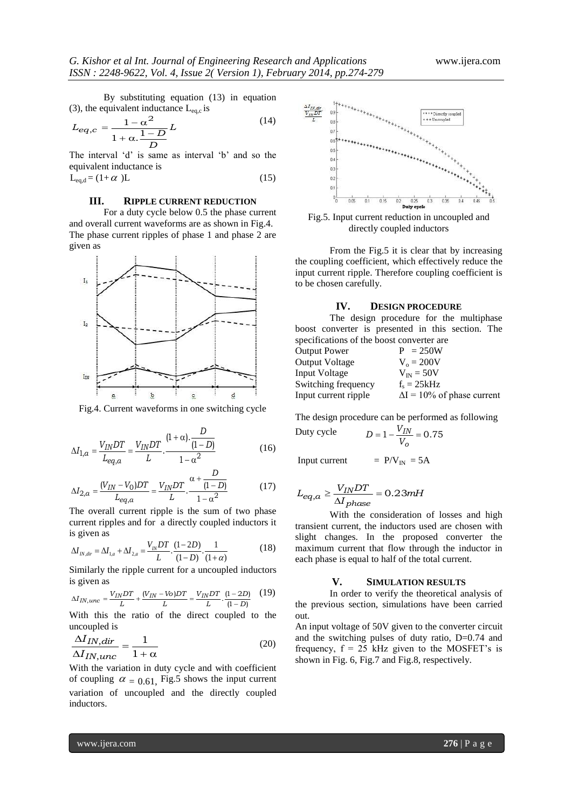By substituting equation (13) in equation (3), the equivalent inductance  $L_{eq,c}$  is

$$
L_{eq,c} = \frac{1 - \alpha^2}{1 + \alpha \cdot \frac{1 - D}{D}} L
$$
 (14)

The interval 'd' is same as interval 'b' and so the equivalent inductance is

$$
L_{eq,d} = (1 + \alpha) L \tag{15}
$$

#### **III. RIPPLE CURRENT REDUCTION**

For a duty cycle below 0.5 the phase current and overall current waveforms are as shown in Fig.4. The phase current ripples of phase 1 and phase 2 are given as



Fig.4. Current waveforms in one switching cycle

$$
\Delta I_{1,a} = \frac{V_{IN}DT}{L_{eq,a}} = \frac{V_{IN}DT}{L} \cdot \frac{(1+\alpha) \cdot \frac{D}{(1-D)}}{1-\alpha^2}
$$
(16)

$$
\Delta I_{2,a} = \frac{(V_{IN} - V_0)DT}{L_{eq,a}} = \frac{V_{IN}DT}{L} \cdot \frac{\alpha + \frac{D}{(1 - D)}}{1 - \alpha^2}
$$
(17)

The overall current ripple is the sum of two phase current ripples and for a directly coupled inductors it is given as

is given as  
\n
$$
\Delta I_{N,dir} = \Delta I_{1,a} + \Delta I_{2,a} = \frac{V_N DT}{L} \cdot \frac{(1-2D)}{(1-D)} \cdot \frac{1}{(1+\alpha)}
$$
\n(18)

Similarly the ripple current for a uncoupled inductors is given as

$$
\Delta I_{IN,unc} = \frac{V_{IN}DT}{L} + \frac{(V_{IN} - Vo)DT}{L} = \frac{V_{IN}DT}{L} \cdot \frac{(1-2D)}{(1-D)} \tag{19}
$$

With this the ratio of the direct coupled to the uncoupled is

$$
\frac{\Delta I_{IN,dir}}{\Delta I_{IN,unc}} = \frac{1}{1+\alpha}
$$
\n(20)

With the variation in duty cycle and with coefficient of coupling  $\alpha$  = 0.61, Fig.5 shows the input current variation of uncoupled and the directly coupled inductors.



Fig.5. Input current reduction in uncoupled and directly coupled inductors

From the Fig.5 it is clear that by increasing the coupling coefficient, which effectively reduce the input current ripple. Therefore coupling coefficient is to be chosen carefully.

#### **IV. DESIGN PROCEDURE**

The design procedure for the multiphase boost converter is presented in this section. The specifications of the boost converter are

| Output Power         | $P = 250W$                         |
|----------------------|------------------------------------|
| Output Voltage       | $V_0 = 200V$                       |
| Input Voltage        | $V_{\text{IN}} = 50V$              |
| Switching frequency  | $f_s = 25kHz$                      |
| Input current ripple | $\Delta I = 10\%$ of phase current |

The design procedure can be performed as following Duty

y cycle 
$$
D = 1 - \frac{V_{IN}}{V_o} = 0.75
$$

Input current  $= P/V_{\text{IN}} = 5A$ 

$$
L_{eq,a} \ge \frac{V_{IN}DT}{\Delta I_{phase}} = 0.23 mH
$$

With the consideration of losses and high transient current, the inductors used are chosen with slight changes. In the proposed converter the maximum current that flow through the inductor in each phase is equal to half of the total current.

#### **V. SIMULATION RESULTS**

In order to verify the theoretical analysis of the previous section, simulations have been carried out.

An input voltage of 50V given to the converter circuit and the switching pulses of duty ratio, D=0.74 and frequency,  $f = 25$  kHz given to the MOSFET's is shown in Fig. 6, Fig.7 and Fig.8, respectively.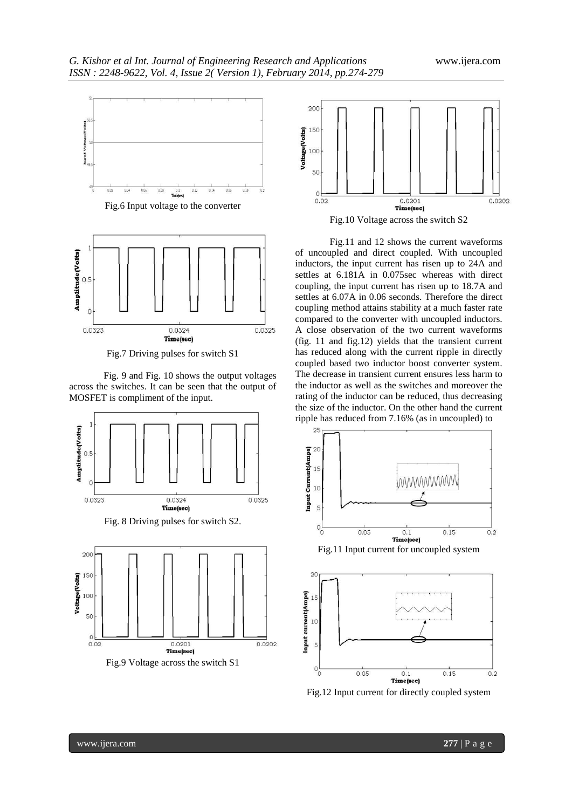





Fig.7 Driving pulses for switch S1

Fig. 9 and Fig. 10 shows the output voltages across the switches. It can be seen that the output of MOSFET is compliment of the input.





Fig.9 Voltage across the switch S1



Fig.10 Voltage across the switch S2

Fig.11 and 12 shows the current waveforms of uncoupled and direct coupled. With uncoupled inductors, the input current has risen up to 24A and settles at 6.181A in 0.075sec whereas with direct coupling, the input current has risen up to 18.7A and settles at 6.07A in 0.06 seconds. Therefore the direct coupling method attains stability at a much faster rate compared to the converter with uncoupled inductors. A close observation of the two current waveforms (fig. 11 and fig.12) yields that the transient current has reduced along with the current ripple in directly coupled based two inductor boost converter system. The decrease in transient current ensures less harm to the inductor as well as the switches and moreover the rating of the inductor can be reduced, thus decreasing the size of the inductor. On the other hand the current ripple has reduced from 7.16% (as in uncoupled) to





Fig.12 Input current for directly coupled system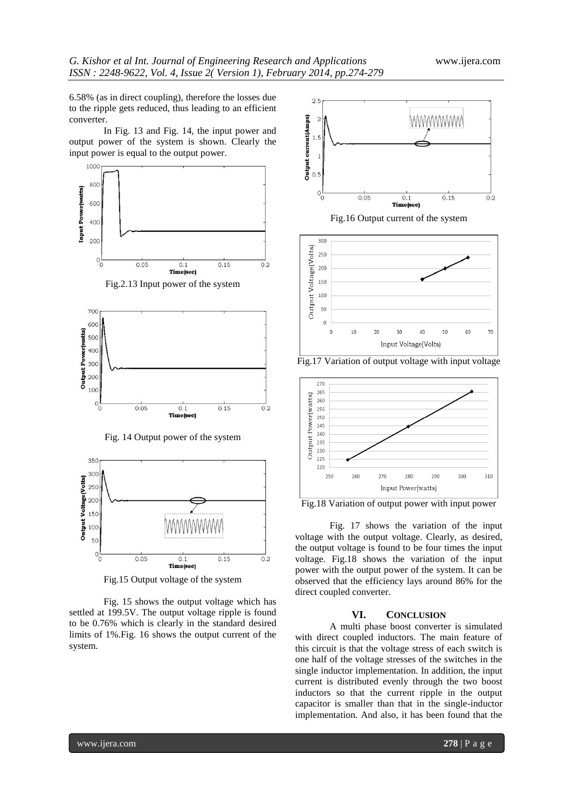6.58% (as in direct coupling), therefore the losses due to the ripple gets reduced, thus leading to an efficient converter.

In Fig. 13 and Fig. 14, the input power and output power of the system is shown. Clearly the input power is equal to the output power.





Fig.15 Output voltage of the system

Fig. 15 shows the output voltage which has settled at 199.5V. The output voltage ripple is found to be 0.76% which is clearly in the standard desired limits of 1%.Fig. 16 shows the output current of the system.



 $30$ Input Voltage(Volts)

40

50

60

70

 $\mathbf{0}$ 

 $10$ 

 $20$ 

Fig.17 Variation of output voltage with input voltage



Fig.18 Variation of output power with input power

Fig. 17 shows the variation of the input voltage with the output voltage. Clearly, as desired, the output voltage is found to be four times the input voltage. Fig.18 shows the variation of the input power with the output power of the system. It can be observed that the efficiency lays around 86% for the direct coupled converter.

#### **VI. CONCLUSION**

A multi phase boost converter is simulated with direct coupled inductors. The main feature of this circuit is that the voltage stress of each switch is one half of the voltage stresses of the switches in the single inductor implementation. In addition, the input current is distributed evenly through the two boost inductors so that the current ripple in the output capacitor is smaller than that in the single-inductor implementation. And also, it has been found that the